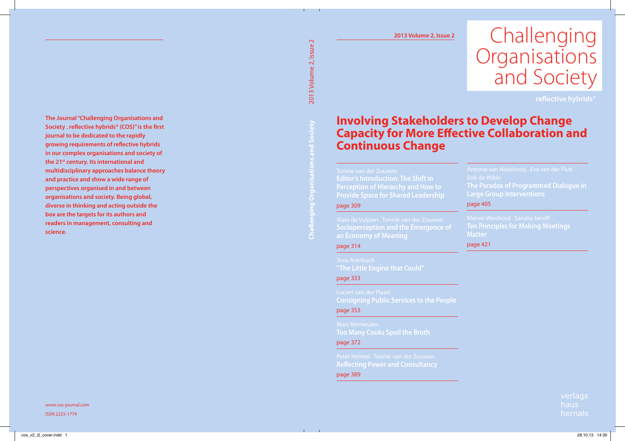# Challenging **Organisations** and Society

## **Involving Stakeholders to Develop Change Capacity for More Effective Collaboration and Continuous Change**

**Editor's Introduction: The Shift in Provide Space for Shared Leadership**

#### page 309

#### page 314

page 333

**Consigning Public Services to the People**

page 353

**Too Many Cooks Spoil the Broth** page 372

page 389

**Large Group Interventions**

#### page 405

**Ten Principles for Making Meetings Matter**

#### page 421

verlags haus hernals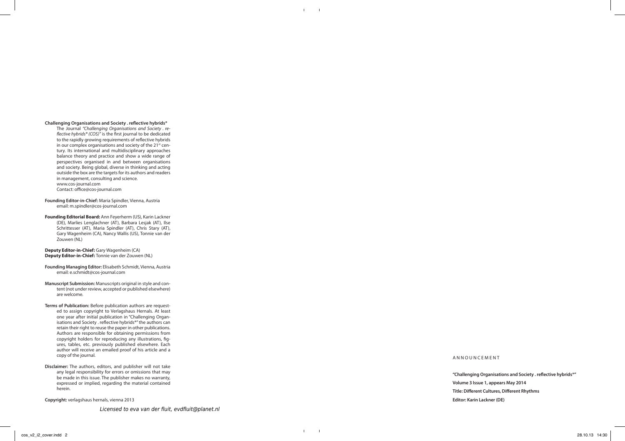#### **Challenging Organisations and Society . reflective hybrids®**

The Journal *"Challenging Organisations and Society . reflective hybrids® (COS)"* is the first journal to be dedicated to the rapidly growing requirements of reflective hybrids in our complex organisations and society of the 21<sup>st</sup> century. Its international and multidisciplinary approaches balance theory and practice and show a wide range of perspectives organised in and between organisations and society. Being global, diverse in thinking and acting outside the box are the targets for its authors and readers in management, consulting and science. www.cos-journal.com

Contact: office@cos-journal.com

- **Founding Editor-in-Chief:** Maria Spindler, Vienna, Austria email: m.spindler@cos-journal.com
- **Founding Editorial Board:** Ann Feyerherm (US), Karin Lackner (DE), Marlies Lenglachner (AT), Barbara Lesjak (AT), Ilse Schrittesser (AT), Maria Spindler (AT), Chris Stary (AT), Gary Wagenheim (CA), Nancy Wallis (US), Tonnie van der Zouwen (NL)

**Deputy Editor-in-Chief:** Gary Wagenheim (CA) **Deputy Editor-in-Chief:** Tonnie van der Zouwen (NL)

- **Founding Managing Editor:** Elisabeth Schmidt, Vienna, Austria email: e.schmidt@cos-journal.com
- **Manuscript Submission:** Manuscripts original in style and content (not under review, accepted or published elsewhere) are welcome.
- **Terms of Publication:** Before publication authors are requested to assign copyright to Verlagshaus Hernals. At least one year after initial publication in "Challenging Organisations and Society . reflective hybrids®" the authors can retain their right to reuse the paper in other publications. Authors are responsible for obtaining permissions from copyright holders for reproducing any illustrations, figures, tables, etc. previously published elsewhere. Each author will receive an emailed proof of his article and a copy of the journal.
- **Disclaimer:** The authors, editors, and publisher will not take any legal responsibility for errors or omissions that may be made in this issue. The publisher makes no warranty, expressed or implied, regarding the material contained herein.

**Copyright:** verlagshaus hernals, vienna 2013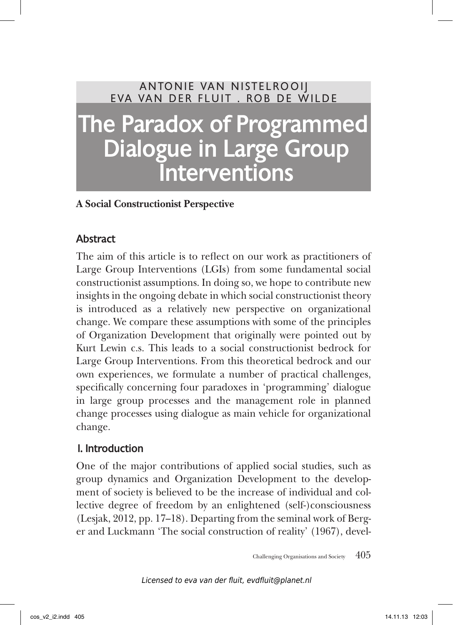# ANTONIE VAN NISTELROOIJ E va van der Fluit . R ob de W ilde The Paradox of Programmed Dialogue in Large Group **Interventions**

#### **A Social Constructionist Perspective**

#### Abstract

The aim of this article is to reflect on our work as practitioners of Large Group Interventions (LGIs) from some fundamental social constructionist assumptions. In doing so, we hope to contribute new insights in the ongoing debate in which social constructionist theory is introduced as a relatively new perspective on organizational change. We compare these assumptions with some of the principles of Organization Development that originally were pointed out by Kurt Lewin c.s. This leads to a social constructionist bedrock for Large Group Interventions. From this theoretical bedrock and our own experiences, we formulate a number of practical challenges, specifically concerning four paradoxes in 'programming' dialogue in large group processes and the management role in planned change processes using dialogue as main vehicle for organizational change.

#### 1. Introduction

One of the major contributions of applied social studies, such as group dynamics and Organization Development to the development of society is believed to be the increase of individual and collective degree of freedom by an enlightened (self-)consciousness (Lesjak, 2012, pp. 17–18). Departing from the seminal work of Berger and Luckmann 'The social construction of reality' (1967), devel-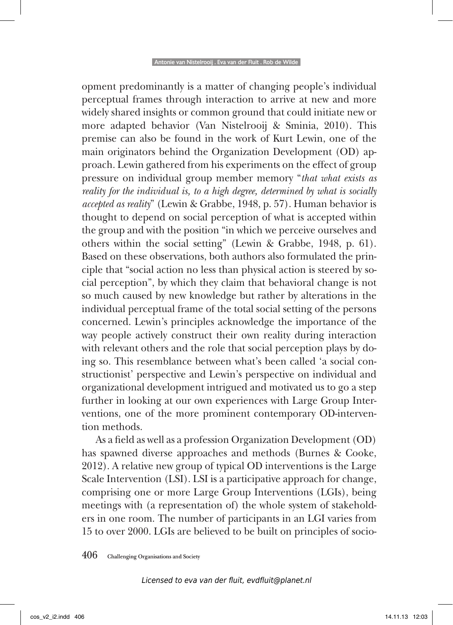opment predominantly is a matter of changing people's individual perceptual frames through interaction to arrive at new and more widely shared insights or common ground that could initiate new or more adapted behavior (Van Nistelrooij & Sminia, 2010). This premise can also be found in the work of Kurt Lewin, one of the main originators behind the Organization Development (OD) approach. Lewin gathered from his experiments on the effect of group pressure on individual group member memory "*that what exists as reality for the individual is, to a high degree, determined by what is socially accepted as reality*" (Lewin & Grabbe, 1948, p. 57). Human behavior is thought to depend on social perception of what is accepted within the group and with the position "in which we perceive ourselves and others within the social setting" (Lewin & Grabbe, 1948, p. 61). Based on these observations, both authors also formulated the principle that "social action no less than physical action is steered by social perception", by which they claim that behavioral change is not so much caused by new knowledge but rather by alterations in the individual perceptual frame of the total social setting of the persons concerned. Lewin's principles acknowledge the importance of the way people actively construct their own reality during interaction with relevant others and the role that social perception plays by doing so. This resemblance between what's been called 'a social constructionist' perspective and Lewin's perspective on individual and organizational development intrigued and motivated us to go a step further in looking at our own experiences with Large Group Interventions, one of the more prominent contemporary OD-intervention methods.

As a field as well as a profession Organization Development (OD) has spawned diverse approaches and methods (Burnes & Cooke, 2012). A relative new group of typical OD interventions is the Large Scale Intervention (LSI). LSI is a participative approach for change, comprising one or more Large Group Interventions (LGIs), being meetings with (a representation of) the whole system of stakeholders in one room. The number of participants in an LGI varies from 15 to over 2000. LGIs are believed to be built on principles of socio-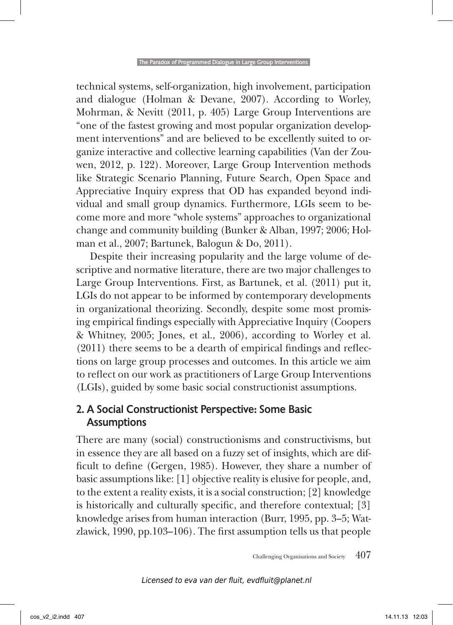technical systems, self-organization, high involvement, participation and dialogue (Holman & Devane, 2007). According to Worley, Mohrman, & Nevitt (2011, p. 405) Large Group Interventions are "one of the fastest growing and most popular organization development interventions" and are believed to be excellently suited to organize interactive and collective learning capabilities (Van der Zouwen, 2012, p. 122). Moreover, Large Group Intervention methods like Strategic Scenario Planning, Future Search, Open Space and Appreciative Inquiry express that OD has expanded beyond individual and small group dynamics. Furthermore, LGIs seem to become more and more "whole systems" approaches to organizational change and community building (Bunker & Alban, 1997; 2006; Holman et al., 2007; Bartunek, Balogun & Do, 2011).

Despite their increasing popularity and the large volume of descriptive and normative literature, there are two major challenges to Large Group Interventions. First, as Bartunek, et al. (2011) put it, LGIs do not appear to be informed by contemporary developments in organizational theorizing. Secondly, despite some most promising empirical findings especially with Appreciative Inquiry (Coopers & Whitney, 2005; Jones, et al., 2006), according to Worley et al. (2011) there seems to be a dearth of empirical findings and reflections on large group processes and outcomes. In this article we aim to reflect on our work as practitioners of Large Group Interventions (LGIs), guided by some basic social constructionist assumptions.

#### 2. A Social Constructionist Perspective: Some Basic Assumptions

There are many (social) constructionisms and constructivisms, but in essence they are all based on a fuzzy set of insights, which are difficult to define (Gergen, 1985). However, they share a number of basic assumptions like: [1] objective reality is elusive for people, and, to the extent a reality exists, it is a social construction; [2] knowledge is historically and culturally specific, and therefore contextual; [3] knowledge arises from human interaction (Burr, 1995, pp. 3–5; Watzlawick, 1990, pp.103–106). The first assumption tells us that people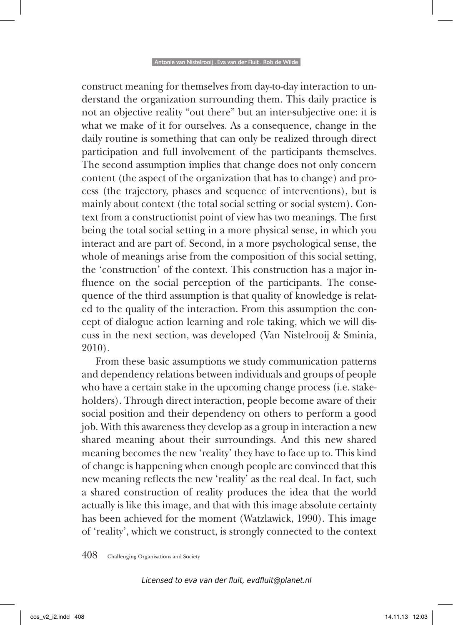construct meaning for themselves from day-to-day interaction to understand the organization surrounding them. This daily practice is not an objective reality "out there" but an inter-subjective one: it is what we make of it for ourselves. As a consequence, change in the daily routine is something that can only be realized through direct participation and full involvement of the participants themselves. The second assumption implies that change does not only concern content (the aspect of the organization that has to change) and process (the trajectory, phases and sequence of interventions), but is mainly about context (the total social setting or social system). Context from a constructionist point of view has two meanings. The first being the total social setting in a more physical sense, in which you interact and are part of. Second, in a more psychological sense, the whole of meanings arise from the composition of this social setting, the 'construction' of the context. This construction has a major influence on the social perception of the participants. The consequence of the third assumption is that quality of knowledge is related to the quality of the interaction. From this assumption the concept of dialogue action learning and role taking, which we will discuss in the next section, was developed (Van Nistelrooij & Sminia, 2010).

From these basic assumptions we study communication patterns and dependency relations between individuals and groups of people who have a certain stake in the upcoming change process (i.e. stakeholders). Through direct interaction, people become aware of their social position and their dependency on others to perform a good job. With this awareness they develop as a group in interaction a new shared meaning about their surroundings. And this new shared meaning becomes the new 'reality' they have to face up to. This kind of change is happening when enough people are convinced that this new meaning reflects the new 'reality' as the real deal. In fact, such a shared construction of reality produces the idea that the world actually is like this image, and that with this image absolute certainty has been achieved for the moment (Watzlawick, 1990). This image of 'reality', which we construct, is strongly connected to the context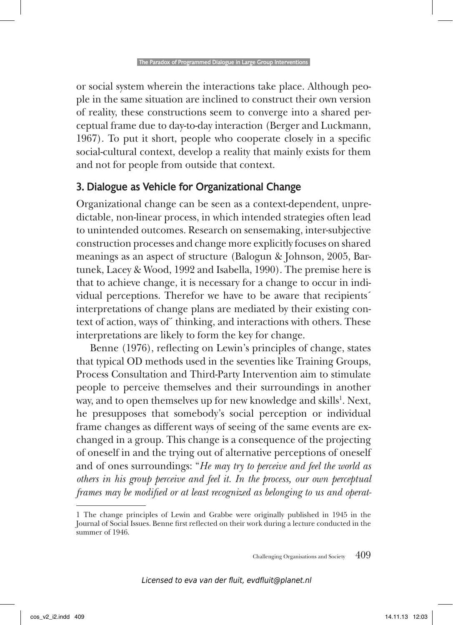or social system wherein the interactions take place. Although people in the same situation are inclined to construct their own version of reality, these constructions seem to converge into a shared perceptual frame due to day-to-day interaction (Berger and Luckmann, 1967). To put it short, people who cooperate closely in a specific social-cultural context, develop a reality that mainly exists for them and not for people from outside that context.

#### 3. Dialogue as Vehicle for Organizational Change

Organizational change can be seen as a context-dependent, unpredictable, non-linear process, in which intended strategies often lead to unintended outcomes. Research on sensemaking, inter-subjective construction processes and change more explicitly focuses on shared meanings as an aspect of structure (Balogun & Johnson, 2005, Bartunek, Lacey & Wood, 1992 and Isabella, 1990). The premise here is that to achieve change, it is necessary for a change to occur in individual perceptions. Therefor we have to be aware that recipients´ interpretations of change plans are mediated by their existing context of action, ways of´ thinking, and interactions with others. These interpretations are likely to form the key for change.

Benne (1976), reflecting on Lewin's principles of change, states that typical OD methods used in the seventies like Training Groups, Process Consultation and Third-Party Intervention aim to stimulate people to perceive themselves and their surroundings in another way, and to open themselves up for new knowledge and skills<sup>1</sup>. Next, he presupposes that somebody's social perception or individual frame changes as different ways of seeing of the same events are exchanged in a group. This change is a consequence of the projecting of oneself in and the trying out of alternative perceptions of oneself and of ones surroundings: "*He may try to perceive and feel the world as others in his group perceive and feel it. In the process, our own perceptual frames may be modified or at least recognized as belonging to us and operat-*

<sup>1</sup> The change principles of Lewin and Grabbe were originally published in 1945 in the Journal of Social Issues. Benne first reflected on their work during a lecture conducted in the summer of 1946.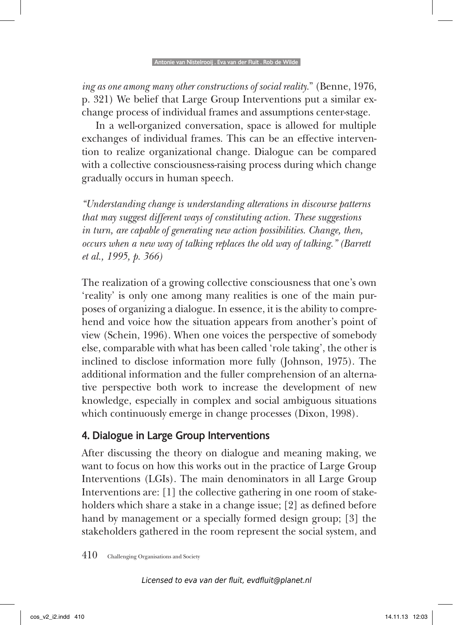*ing as one among many other constructions of social reality.*" (Benne, 1976, p. 321) We belief that Large Group Interventions put a similar exchange process of individual frames and assumptions center-stage.

In a well-organized conversation, space is allowed for multiple exchanges of individual frames. This can be an effective intervention to realize organizational change. Dialogue can be compared with a collective consciousness-raising process during which change gradually occurs in human speech.

*"Understanding change is understanding alterations in discourse patterns that may suggest different ways of constituting action. These suggestions in turn, are capable of generating new action possibilities. Change, then, occurs when a new way of talking replaces the old way of talking." (Barrett et al., 1995, p. 366)*

The realization of a growing collective consciousness that one's own 'reality' is only one among many realities is one of the main purposes of organizing a dialogue. In essence, it is the ability to comprehend and voice how the situation appears from another's point of view (Schein, 1996). When one voices the perspective of somebody else, comparable with what has been called 'role taking', the other is inclined to disclose information more fully (Johnson, 1975). The additional information and the fuller comprehension of an alternative perspective both work to increase the development of new knowledge, especially in complex and social ambiguous situations which continuously emerge in change processes (Dixon, 1998).

#### 4. Dialogue in Large Group Interventions

After discussing the theory on dialogue and meaning making, we want to focus on how this works out in the practice of Large Group Interventions (LGIs). The main denominators in all Large Group Interventions are: [1] the collective gathering in one room of stakeholders which share a stake in a change issue; [2] as defined before hand by management or a specially formed design group; [3] the stakeholders gathered in the room represent the social system, and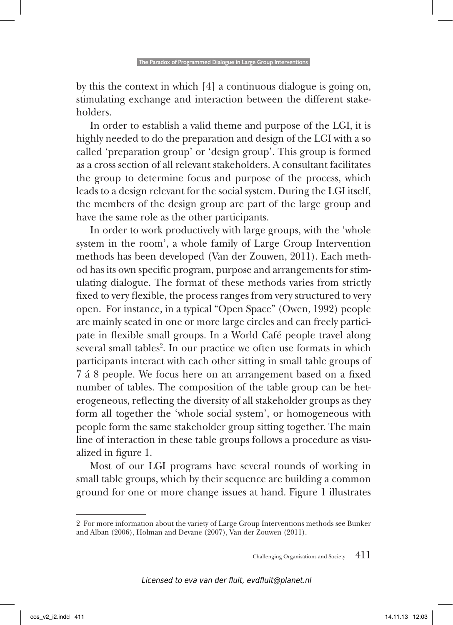by this the context in which [4] a continuous dialogue is going on, stimulating exchange and interaction between the different stakeholders.

In order to establish a valid theme and purpose of the LGI, it is highly needed to do the preparation and design of the LGI with a so called 'preparation group' or 'design group'. This group is formed as a cross section of all relevant stakeholders. A consultant facilitates the group to determine focus and purpose of the process, which leads to a design relevant for the social system. During the LGI itself, the members of the design group are part of the large group and have the same role as the other participants.

In order to work productively with large groups, with the 'whole system in the room', a whole family of Large Group Intervention methods has been developed (Van der Zouwen, 2011). Each method has its own specific program, purpose and arrangements for stimulating dialogue. The format of these methods varies from strictly fixed to very flexible, the process ranges from very structured to very open. For instance, in a typical "Open Space" (Owen, 1992) people are mainly seated in one or more large circles and can freely participate in flexible small groups. In a World Café people travel along several small tables<sup>2</sup>. In our practice we often use formats in which participants interact with each other sitting in small table groups of 7 á 8 people. We focus here on an arrangement based on a fixed number of tables. The composition of the table group can be heterogeneous, reflecting the diversity of all stakeholder groups as they form all together the 'whole social system', or homogeneous with people form the same stakeholder group sitting together. The main line of interaction in these table groups follows a procedure as visualized in figure 1.

Most of our LGI programs have several rounds of working in small table groups, which by their sequence are building a common ground for one or more change issues at hand. Figure 1 illustrates

<sup>2</sup> For more information about the variety of Large Group Interventions methods see Bunker and Alban (2006), Holman and Devane (2007), Van der Zouwen (2011).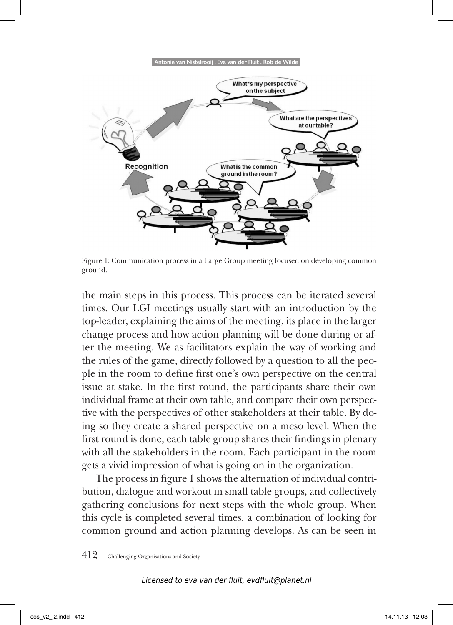

Figure 1: Communication process in a Large Group meeting focused on developing common ground.

the main steps in this process. This process can be iterated several times. Our LGI meetings usually start with an introduction by the top-leader, explaining the aims of the meeting, its place in the larger change process and how action planning will be done during or after the meeting. We as facilitators explain the way of working and the rules of the game, directly followed by a question to all the people in the room to define first one's own perspective on the central issue at stake. In the first round, the participants share their own individual frame at their own table, and compare their own perspective with the perspectives of other stakeholders at their table. By doing so they create a shared perspective on a meso level. When the first round is done, each table group shares their findings in plenary with all the stakeholders in the room. Each participant in the room gets a vivid impression of what is going on in the organization.

The process in figure 1 shows the alternation of individual contribution, dialogue and workout in small table groups, and collectively gathering conclusions for next steps with the whole group. When this cycle is completed several times, a combination of looking for common ground and action planning develops. As can be seen in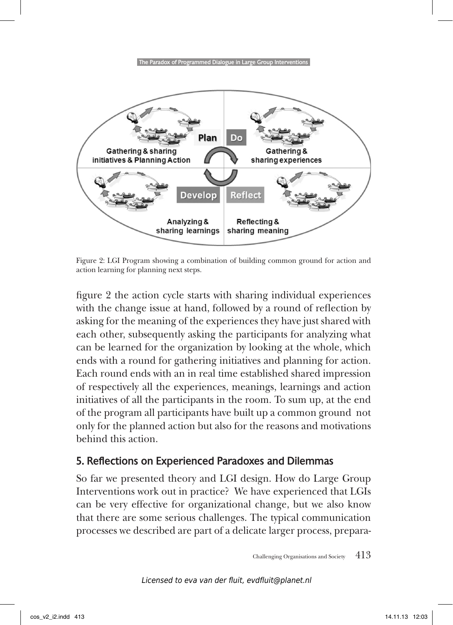

Figure 2: LGI Program showing a combination of building common ground for action and action learning for planning next steps.

figure 2 the action cycle starts with sharing individual experiences with the change issue at hand, followed by a round of reflection by asking for the meaning of the experiences they have just shared with each other, subsequently asking the participants for analyzing what can be learned for the organization by looking at the whole, which ends with a round for gathering initiatives and planning for action. Each round ends with an in real time established shared impression of respectively all the experiences, meanings, learnings and action initiatives of all the participants in the room. To sum up, at the end of the program all participants have built up a common ground not only for the planned action but also for the reasons and motivations behind this action.

#### 5. Reflections on Experienced Paradoxes and Dilemmas

So far we presented theory and LGI design. How do Large Group Interventions work out in practice? We have experienced that LGIs can be very effective for organizational change, but we also know that there are some serious challenges. The typical communication processes we described are part of a delicate larger process, prepara-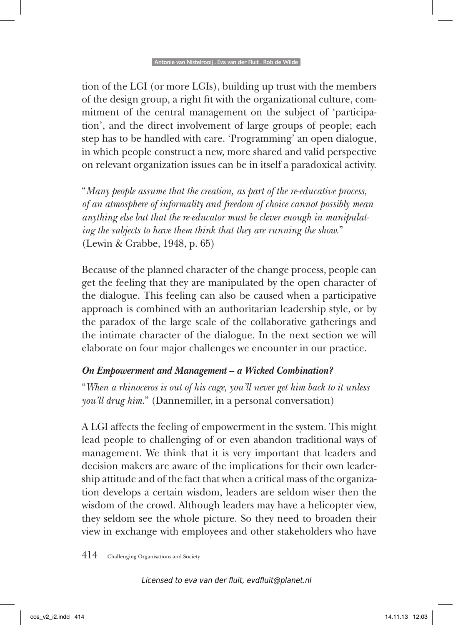tion of the LGI (or more LGIs), building up trust with the members of the design group, a right fit with the organizational culture, commitment of the central management on the subject of 'participation', and the direct involvement of large groups of people; each step has to be handled with care. 'Programming' an open dialogue, in which people construct a new, more shared and valid perspective on relevant organization issues can be in itself a paradoxical activity.

"*Many people assume that the creation, as part of the re-educative process, of an atmosphere of informality and freedom of choice cannot possibly mean anything else but that the re-educator must be clever enough in manipulating the subjects to have them think that they are running the show.*" (Lewin & Grabbe, 1948, p. 65)

Because of the planned character of the change process, people can get the feeling that they are manipulated by the open character of the dialogue. This feeling can also be caused when a participative approach is combined with an authoritarian leadership style, or by the paradox of the large scale of the collaborative gatherings and the intimate character of the dialogue. In the next section we will elaborate on four major challenges we encounter in our practice.

#### *On Empowerment and Management – a Wicked Combination?*

"*When a rhinoceros is out of his cage, you'll never get him back to it unless you'll drug him.*" (Dannemiller, in a personal conversation)

A LGI affects the feeling of empowerment in the system. This might lead people to challenging of or even abandon traditional ways of management. We think that it is very important that leaders and decision makers are aware of the implications for their own leadership attitude and of the fact that when a critical mass of the organization develops a certain wisdom, leaders are seldom wiser then the wisdom of the crowd. Although leaders may have a helicopter view, they seldom see the whole picture. So they need to broaden their view in exchange with employees and other stakeholders who have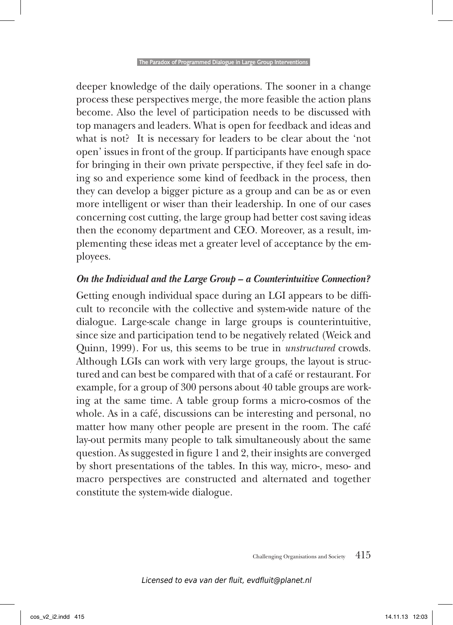deeper knowledge of the daily operations. The sooner in a change process these perspectives merge, the more feasible the action plans become. Also the level of participation needs to be discussed with top managers and leaders. What is open for feedback and ideas and what is not? It is necessary for leaders to be clear about the 'not open' issues in front of the group. If participants have enough space for bringing in their own private perspective, if they feel safe in doing so and experience some kind of feedback in the process, then they can develop a bigger picture as a group and can be as or even more intelligent or wiser than their leadership. In one of our cases concerning cost cutting, the large group had better cost saving ideas then the economy department and CEO. Moreover, as a result, implementing these ideas met a greater level of acceptance by the employees.

#### *On the Individual and the Large Group – a Counterintuitive Connection?*

Getting enough individual space during an LGI appears to be difficult to reconcile with the collective and system-wide nature of the dialogue. Large-scale change in large groups is counterintuitive, since size and participation tend to be negatively related (Weick and Quinn, 1999). For us, this seems to be true in *unstructured* crowds. Although LGIs can work with very large groups, the layout is structured and can best be compared with that of a café or restaurant. For example, for a group of 300 persons about 40 table groups are working at the same time. A table group forms a micro-cosmos of the whole. As in a café, discussions can be interesting and personal, no matter how many other people are present in the room. The café lay-out permits many people to talk simultaneously about the same question. As suggested in figure 1 and 2, their insights are converged by short presentations of the tables. In this way, micro-, meso- and macro perspectives are constructed and alternated and together constitute the system-wide dialogue.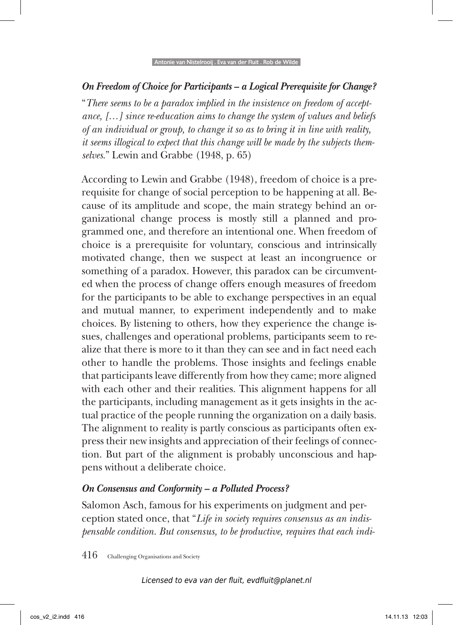#### *On Freedom of Choice for Participants – a Logical Prerequisite for Change?*

"*There seems to be a paradox implied in the insistence on freedom of acceptance, […] since re-education aims to change the system of values and beliefs of an individual or group, to change it so as to bring it in line with reality, it seems illogical to expect that this change will be made by the subjects themselves*." Lewin and Grabbe (1948, p. 65)

According to Lewin and Grabbe (1948), freedom of choice is a prerequisite for change of social perception to be happening at all. Because of its amplitude and scope, the main strategy behind an organizational change process is mostly still a planned and programmed one, and therefore an intentional one. When freedom of choice is a prerequisite for voluntary, conscious and intrinsically motivated change, then we suspect at least an incongruence or something of a paradox. However, this paradox can be circumvented when the process of change offers enough measures of freedom for the participants to be able to exchange perspectives in an equal and mutual manner, to experiment independently and to make choices. By listening to others, how they experience the change issues, challenges and operational problems, participants seem to realize that there is more to it than they can see and in fact need each other to handle the problems. Those insights and feelings enable that participants leave differently from how they came; more aligned with each other and their realities. This alignment happens for all the participants, including management as it gets insights in the actual practice of the people running the organization on a daily basis. The alignment to reality is partly conscious as participants often express their new insights and appreciation of their feelings of connection. But part of the alignment is probably unconscious and happens without a deliberate choice.

#### *On Consensus and Conformity – a Polluted Process?*

Salomon Asch, famous for his experiments on judgment and perception stated once, that "*Life in society requires consensus as an indispensable condition. But consensus, to be productive, requires that each indi-*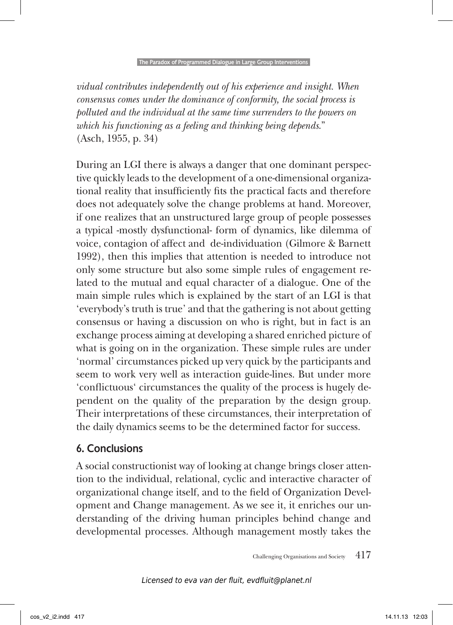*vidual contributes independently out of his experience and insight. When consensus comes under the dominance of conformity, the social process is polluted and the individual at the same time surrenders to the powers on which his functioning as a feeling and thinking being depends*." (Asch, 1955, p. 34)

During an LGI there is always a danger that one dominant perspective quickly leads to the development of a one-dimensional organizational reality that insufficiently fits the practical facts and therefore does not adequately solve the change problems at hand. Moreover, if one realizes that an unstructured large group of people possesses a typical -mostly dysfunctional- form of dynamics, like dilemma of voice, contagion of affect and de-individuation (Gilmore & Barnett 1992), then this implies that attention is needed to introduce not only some structure but also some simple rules of engagement related to the mutual and equal character of a dialogue. One of the main simple rules which is explained by the start of an LGI is that 'everybody's truth is true' and that the gathering is not about getting consensus or having a discussion on who is right, but in fact is an exchange process aiming at developing a shared enriched picture of what is going on in the organization. These simple rules are under 'normal' circumstances picked up very quick by the participants and seem to work very well as interaction guide-lines. But under more 'conflictuous' circumstances the quality of the process is hugely dependent on the quality of the preparation by the design group. Their interpretations of these circumstances, their interpretation of the daily dynamics seems to be the determined factor for success.

### 6. Conclusions

A social constructionist way of looking at change brings closer attention to the individual, relational, cyclic and interactive character of organizational change itself, and to the field of Organization Development and Change management. As we see it, it enriches our understanding of the driving human principles behind change and developmental processes. Although management mostly takes the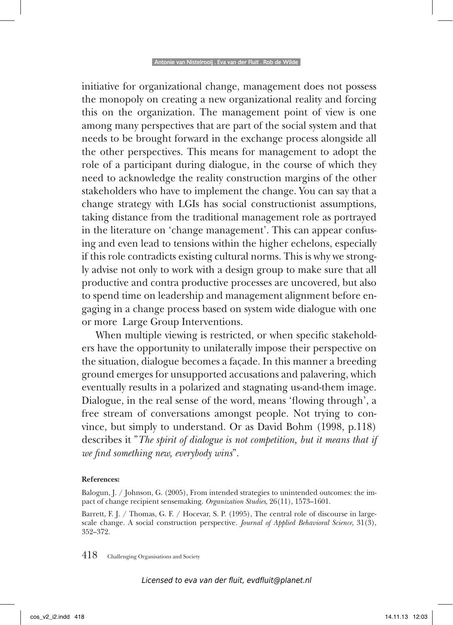initiative for organizational change, management does not possess the monopoly on creating a new organizational reality and forcing this on the organization. The management point of view is one among many perspectives that are part of the social system and that needs to be brought forward in the exchange process alongside all the other perspectives. This means for management to adopt the role of a participant during dialogue, in the course of which they need to acknowledge the reality construction margins of the other stakeholders who have to implement the change. You can say that a change strategy with LGIs has social constructionist assumptions, taking distance from the traditional management role as portrayed in the literature on 'change management'. This can appear confusing and even lead to tensions within the higher echelons, especially if this role contradicts existing cultural norms. This is why we strongly advise not only to work with a design group to make sure that all productive and contra productive processes are uncovered, but also to spend time on leadership and management alignment before engaging in a change process based on system wide dialogue with one or more Large Group Interventions.

When multiple viewing is restricted, or when specific stakeholders have the opportunity to unilaterally impose their perspective on the situation, dialogue becomes a façade. In this manner a breeding ground emerges for unsupported accusations and palavering, which eventually results in a polarized and stagnating us-and-them image. Dialogue, in the real sense of the word, means 'flowing through', a free stream of conversations amongst people. Not trying to convince, but simply to understand. Or as David Bohm (1998, p.118) describes it "*The spirit of dialogue is not competition, but it means that if we find something new, everybody wins*".

#### **References:**

Balogun, J. / Johnson, G. (2005), From intended strategies to unintended outcomes: the impact of change recipient sensemaking. *Organization Studies*, 26(11), 1573–1601.

Barrett, F. J. / Thomas, G. F. / Hocevar, S. P. (1995), The central role of discourse in largescale change. A social construction perspective. *Journal of Applied Behavioral Science*, 31(3), 352–372.

418 Challenging Organisations and Society

Licensed to eva van der fluit, evdfluit@planet.nl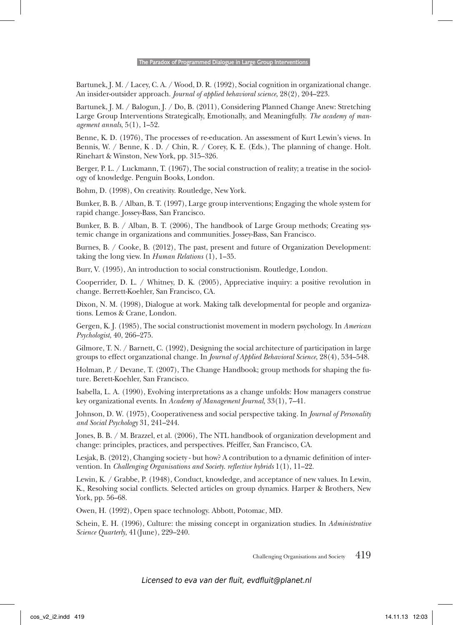Bartunek, J. M. / Lacey, C. A. / Wood, D. R. (1992), Social cognition in organizational change. An insider-outsider approach. *Journal of applied behavioral science*, 28(2), 204–223.

Bartunek, J. M. / Balogun, J. / Do, B. (2011), Considering Planned Change Anew: Stretching Large Group Interventions Strategically, Emotionally, and Meaningfully. *The academy of management annals*, 5(1), 1–52.

Benne, K. D. (1976), The processes of re-education. An assessment of Kurt Lewin's views. In Bennis, W. / Benne, K . D. / Chin, R. / Corey, K. E. (Eds.), The planning of change. Holt. Rinehart & Winston, New York, pp. 315–326.

Berger, P. L. / Luckmann, T. (1967), The social construction of reality; a treatise in the sociology of knowledge. Penguin Books, London.

Bohm, D. (1998), On creativity. Routledge, New York.

Bunker, B. B. / Alban, B. T. (1997), Large group interventions; Engaging the whole system for rapid change. Jossey-Bass, San Francisco.

Bunker, B. B. / Alban, B. T. (2006), The handbook of Large Group methods; Creating systemic change in organizations and communities. Jossey-Bass, San Francisco.

Burnes, B. / Cooke, B. (2012), The past, present and future of Organization Development: taking the long view. In *Human Relations* (1), 1–35.

Burr, V. (1995), An introduction to social constructionism. Routledge, London.

Cooperrider, D. L. / Whitney, D. K. (2005), Appreciative inquiry: a positive revolution in change. Berrett-Koehler, San Francisco, CA.

Dixon, N. M. (1998), Dialogue at work. Making talk developmental for people and organizations. Lemos & Crane, London.

Gergen, K. J. (1985), The social constructionist movement in modern psychology. In *American Psychologist*, 40, 266–275.

Gilmore, T. N. / Barnett, C. (1992), Designing the social architecture of participation in large groups to effect organzational change. In *Journal of Applied Behavioral Science*, 28(4), 534–548.

Holman, P. / Devane, T. (2007), The Change Handbook; group methods for shaping the future. Berett-Koehler, San Francisco.

Isabella, L. A. (1990), Evolving interpretations as a change unfolds: How managers construe key organizational events. In *Academy of Management Journal*, 33(1), 7–41.

Johnson, D. W. (1975), Cooperativeness and social perspective taking. In *Journal of Personality and Social Psychology* 31, 241–244.

Jones, B. B. / M. Brazzel, et al. (2006), The NTL handbook of organization development and change: principles, practices, and perspectives. Pfeiffer, San Francisco, CA.

Lesjak, B. (2012), Changing society - but how? A contribution to a dynamic definition of intervention. In *Challenging Organisations and Society*. *reflective hybrids* 1(1), 11–22.

Lewin, K. / Grabbe, P. (1948), Conduct, knowledge, and acceptance of new values. In Lewin, K., Resolving social conflicts. Selected articles on group dynamics. Harper & Brothers, New York, pp. 56–68.

Owen, H. (1992), Open space technology. Abbott, Potomac, MD.

Schein, E. H. (1996), Culture: the missing concept in organization studies. In *Administrative Science Quarterly*, 41(June), 229–240.

Challenging Organisations and Society 419